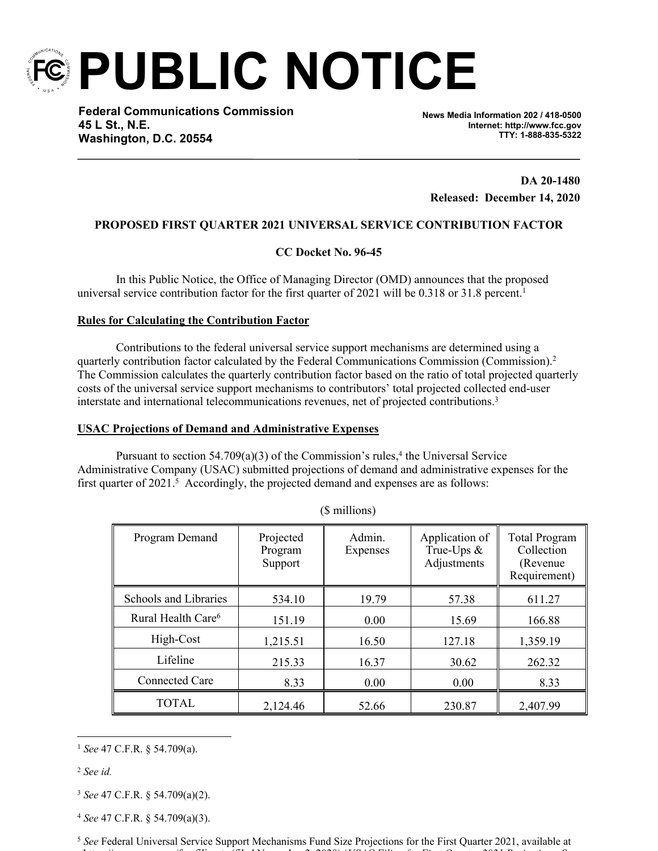

**PUBLIC NOTICE**

**Federal Communications Commission 45 L St., N.E. Washington, D.C. 20554**

**News Media Information 202 / 418-0500 Internet: http://www.fcc.gov TTY: 1-888-835-5322**

**DA 20-1480 Released: December 14, 2020**

# **PROPOSED FIRST QUARTER 2021 UNIVERSAL SERVICE CONTRIBUTION FACTOR**

## **CC Docket No. 96-45**

In this Public Notice, the Office of Managing Director (OMD) announces that the proposed universal service contribution factor for the first quarter of 2021 will be 0.318 or 31.8 percent.<sup>1</sup>

## **Rules for Calculating the Contribution Factor**

Contributions to the federal universal service support mechanisms are determined using a quarterly contribution factor calculated by the Federal Communications Commission (Commission).<sup>2</sup> The Commission calculates the quarterly contribution factor based on the ratio of total projected quarterly costs of the universal service support mechanisms to contributors' total projected collected end-user interstate and international telecommunications revenues, net of projected contributions.<sup>3</sup>

## **USAC Projections of Demand and Administrative Expenses**

Pursuant to section  $54.709(a)(3)$  of the Commission's rules,<sup>4</sup> the Universal Service Administrative Company (USAC) submitted projections of demand and administrative expenses for the first quarter of 2021.<sup>5</sup> Accordingly, the projected demand and expenses are as follows:

| Program Demand                 | Projected<br>Program<br>Support | Admin.<br>Expenses | Application of<br>True-Ups $&$<br>Adjustments | <b>Total Program</b><br>Collection<br>(Revenue)<br>Requirement) |
|--------------------------------|---------------------------------|--------------------|-----------------------------------------------|-----------------------------------------------------------------|
| Schools and Libraries          | 534.10                          | 19.79              | 57.38                                         | 611.27                                                          |
| Rural Health Care <sup>6</sup> | 151.19                          | 0.00               | 15.69                                         | 166.88                                                          |
| High-Cost                      | 1,215.51                        | 16.50              | 127.18                                        | 1,359.19                                                        |
| Lifeline                       | 215.33                          | 16.37              | 30.62                                         | 262.32                                                          |
| <b>Connected Care</b>          | 8.33                            | 0.00               | 0.00                                          | 8.33                                                            |
| <b>TOTAL</b>                   | 2,124.46                        | 52.66              | 230.87                                        | 2,407.99                                                        |

(\$ millions)

<sup>2</sup> *See id.*

<sup>3</sup> *See* 47 C.F.R. § 54.709(a)(2).

<sup>4</sup> *See* 47 C.F.R. § 54.709(a)(3).

<sup>5</sup> *See* Federal Universal Service Support Mechanisms Fund Size Projections for the First Quarter 2021, available at  $\mu$  (*iii)* (*iii)* (*November 2, 2020)* (*III)* (*USAC Filing for First Quarter 2, 2021 Projections*; *See Quarter 2021 Projections*; *See Quarter 2021 Projections*; *See Quarter 2021 Projections*; *See <i>Quarter* 2, 202

<sup>1</sup> *See* 47 C.F.R. § 54.709(a).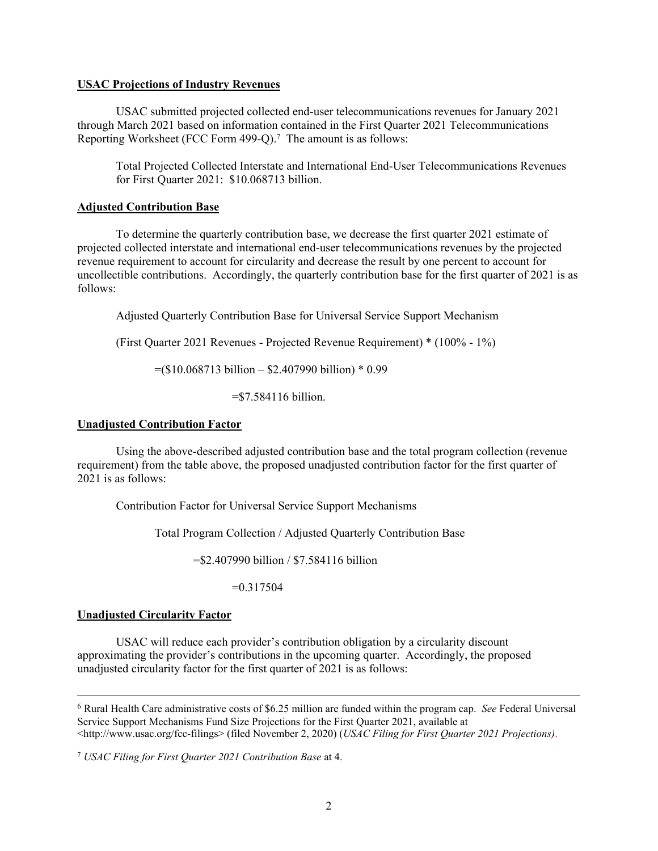#### **USAC Projections of Industry Revenues**

USAC submitted projected collected end-user telecommunications revenues for January 2021 through March 2021 based on information contained in the First Quarter 2021 Telecommunications Reporting Worksheet (FCC Form 499-Q).<sup>7</sup> The amount is as follows:

Total Projected Collected Interstate and International End-User Telecommunications Revenues for First Quarter 2021: \$10.068713 billion.

#### **Adjusted Contribution Base**

To determine the quarterly contribution base, we decrease the first quarter 2021 estimate of projected collected interstate and international end-user telecommunications revenues by the projected revenue requirement to account for circularity and decrease the result by one percent to account for uncollectible contributions. Accordingly, the quarterly contribution base for the first quarter of 2021 is as follows:

Adjusted Quarterly Contribution Base for Universal Service Support Mechanism

(First Quarter 2021 Revenues - Projected Revenue Requirement) \* (100% - 1%)

 $=(\$10.068713$  billion – \$2.407990 billion) \* 0.99

=\$7.584116 billion.

#### **Unadjusted Contribution Factor**

Using the above-described adjusted contribution base and the total program collection (revenue requirement) from the table above, the proposed unadjusted contribution factor for the first quarter of 2021 is as follows:

Contribution Factor for Universal Service Support Mechanisms

Total Program Collection / Adjusted Quarterly Contribution Base

=\$2.407990 billion / \$7.584116 billion

 $=0.317504$ 

## **Unadjusted Circularity Factor**

USAC will reduce each provider's contribution obligation by a circularity discount approximating the provider's contributions in the upcoming quarter. Accordingly, the proposed unadjusted circularity factor for the first quarter of 2021 is as follows:

<sup>6</sup> Rural Health Care administrative costs of \$6.25 million are funded within the program cap. *See* Federal Universal Service Support Mechanisms Fund Size Projections for the First Quarter 2021, available at <http://www.usac.org/fcc-filings> (filed November 2, 2020) (*USAC Filing for First Quarter 2021 Projections)*.

<sup>7</sup>  *USAC Filing for First Quarter 2021 Contribution Base* at 4.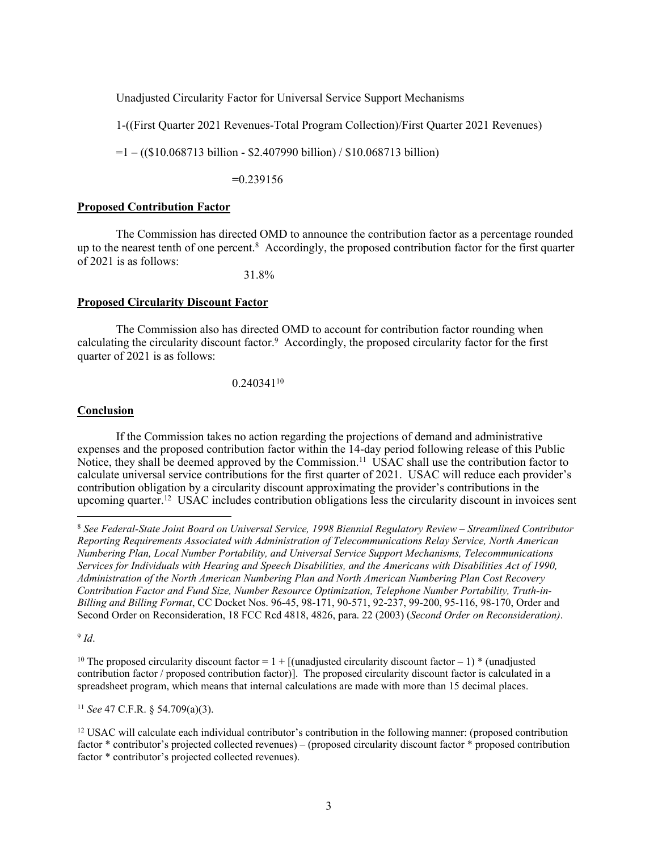Unadjusted Circularity Factor for Universal Service Support Mechanisms

1-((First Quarter 2021 Revenues-Total Program Collection)/First Quarter 2021 Revenues)

 $=1 - ((10.068713 \text{ billion} - 2.407990 \text{ billion}) / 10.068713 \text{ billion})$ 

**=**0.239156

#### **Proposed Contribution Factor**

The Commission has directed OMD to announce the contribution factor as a percentage rounded up to the nearest tenth of one percent.<sup>8</sup> Accordingly, the proposed contribution factor for the first quarter of 2021 is as follows:

31.8%

#### **Proposed Circularity Discount Factor**

The Commission also has directed OMD to account for contribution factor rounding when calculating the circularity discount factor.<sup>9</sup> Accordingly, the proposed circularity factor for the first quarter of 2021 is as follows:

0.240341<sup>10</sup>

#### **Conclusion**

If the Commission takes no action regarding the projections of demand and administrative expenses and the proposed contribution factor within the 14-day period following release of this Public Notice, they shall be deemed approved by the Commission.<sup>11</sup> USAC shall use the contribution factor to calculate universal service contributions for the first quarter of 2021. USAC will reduce each provider's contribution obligation by a circularity discount approximating the provider's contributions in the upcoming quarter.<sup>12</sup> USAC includes contribution obligations less the circularity discount in invoices sent

9 *Id*.

<sup>10</sup> The proposed circularity discount factor =  $1 +$  [(unadjusted circularity discount factor – 1) \* (unadjusted contribution factor / proposed contribution factor)]. The proposed circularity discount factor is calculated in a spreadsheet program, which means that internal calculations are made with more than 15 decimal places.

<sup>11</sup> *See* 47 C.F.R. § 54.709(a)(3).

<sup>8</sup> *See Federal-State Joint Board on Universal Service, 1998 Biennial Regulatory Review – Streamlined Contributor Reporting Requirements Associated with Administration of Telecommunications Relay Service, North American Numbering Plan, Local Number Portability, and Universal Service Support Mechanisms, Telecommunications Services for Individuals with Hearing and Speech Disabilities, and the Americans with Disabilities Act of 1990, Administration of the North American Numbering Plan and North American Numbering Plan Cost Recovery Contribution Factor and Fund Size, Number Resource Optimization, Telephone Number Portability, Truth-in-Billing and Billing Format*, CC Docket Nos. 96-45, 98-171, 90-571, 92-237, 99-200, 95-116, 98-170, Order and Second Order on Reconsideration, 18 FCC Rcd 4818, 4826, para. 22 (2003) (*Second Order on Reconsideration)*.

<sup>12</sup> USAC will calculate each individual contributor's contribution in the following manner: (proposed contribution factor \* contributor's projected collected revenues) – (proposed circularity discount factor \* proposed contribution factor \* contributor's projected collected revenues).